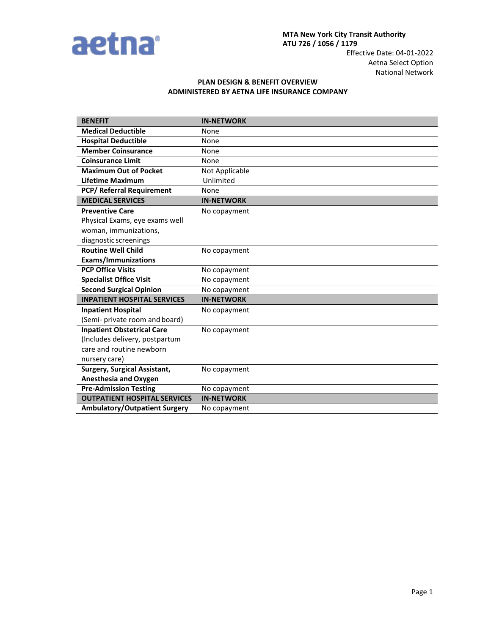

## **PLAN DESIGN & BENEFIT OVERVIEW ADMINISTERED BY AETNA LIFE INSURANCE COMPANY**

| <b>BENEFIT</b>                       | <b>IN-NETWORK</b> |
|--------------------------------------|-------------------|
| <b>Medical Deductible</b>            | None              |
| <b>Hospital Deductible</b>           | None              |
| <b>Member Coinsurance</b>            | None              |
| <b>Coinsurance Limit</b>             | None              |
| <b>Maximum Out of Pocket</b>         | Not Applicable    |
| <b>Lifetime Maximum</b>              | Unlimited         |
| <b>PCP/ Referral Requirement</b>     | None              |
| <b>MEDICAL SERVICES</b>              | <b>IN-NETWORK</b> |
| <b>Preventive Care</b>               | No copayment      |
| Physical Exams, eye exams well       |                   |
| woman, immunizations,                |                   |
| diagnostic screenings                |                   |
| <b>Routine Well Child</b>            | No copayment      |
| <b>Exams/Immunizations</b>           |                   |
| <b>PCP Office Visits</b>             | No copayment      |
| <b>Specialist Office Visit</b>       | No copayment      |
| <b>Second Surgical Opinion</b>       | No copayment      |
| <b>INPATIENT HOSPITAL SERVICES</b>   | <b>IN-NETWORK</b> |
| <b>Inpatient Hospital</b>            | No copayment      |
| (Semi- private room and board)       |                   |
| <b>Inpatient Obstetrical Care</b>    | No copayment      |
| (Includes delivery, postpartum       |                   |
| care and routine newborn             |                   |
| nursery care)                        |                   |
| <b>Surgery, Surgical Assistant,</b>  | No copayment      |
| <b>Anesthesia and Oxygen</b>         |                   |
| <b>Pre-Admission Testing</b>         | No copayment      |
| <b>OUTPATIENT HOSPITAL SERVICES</b>  | <b>IN-NETWORK</b> |
| <b>Ambulatory/Outpatient Surgery</b> | No copayment      |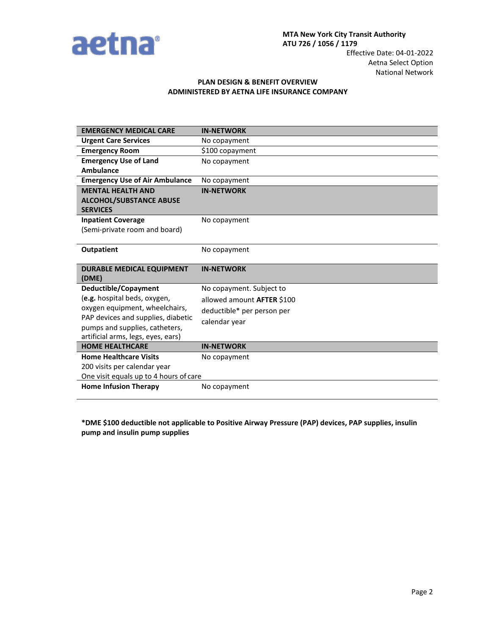

## **PLAN DESIGN & BENEFIT OVERVIEW ADMINISTERED BY AETNA LIFE INSURANCE COMPANY**

| <b>EMERGENCY MEDICAL CARE</b>                                          | <b>IN-NETWORK</b>          |
|------------------------------------------------------------------------|----------------------------|
| <b>Urgent Care Services</b>                                            | No copayment               |
| <b>Emergency Room</b>                                                  | \$100 copayment            |
| <b>Emergency Use of Land</b>                                           | No copayment               |
| <b>Ambulance</b>                                                       |                            |
| <b>Emergency Use of Air Ambulance</b>                                  | No copayment               |
| <b>MENTAL HEALTH AND</b>                                               | <b>IN-NETWORK</b>          |
| <b>ALCOHOL/SUBSTANCE ABUSE</b>                                         |                            |
| <b>SERVICES</b>                                                        |                            |
| <b>Inpatient Coverage</b>                                              | No copayment               |
| (Semi-private room and board)                                          |                            |
|                                                                        |                            |
| <b>Outpatient</b>                                                      | No copayment               |
|                                                                        |                            |
| <b>DURABLE MEDICAL EQUIPMENT</b>                                       | <b>IN-NETWORK</b>          |
| (DME)<br>Deductible/Copayment                                          |                            |
|                                                                        |                            |
|                                                                        | No copayment. Subject to   |
| (e.g. hospital beds, oxygen,                                           | allowed amount AFTER \$100 |
| oxygen equipment, wheelchairs,                                         | deductible* per person per |
| PAP devices and supplies, diabetic                                     | calendar year              |
| pumps and supplies, catheters,                                         |                            |
| artificial arms, legs, eyes, ears)                                     |                            |
| <b>HOME HEALTHCARE</b>                                                 | <b>IN-NETWORK</b>          |
| <b>Home Healthcare Visits</b>                                          | No copayment               |
| 200 visits per calendar year                                           |                            |
| One visit equals up to 4 hours of care<br><b>Home Infusion Therapy</b> |                            |

**\*DME \$100 deductible not applicable to Positive Airway Pressure (PAP) devices, PAP supplies, insulin pump and insulin pump supplies**